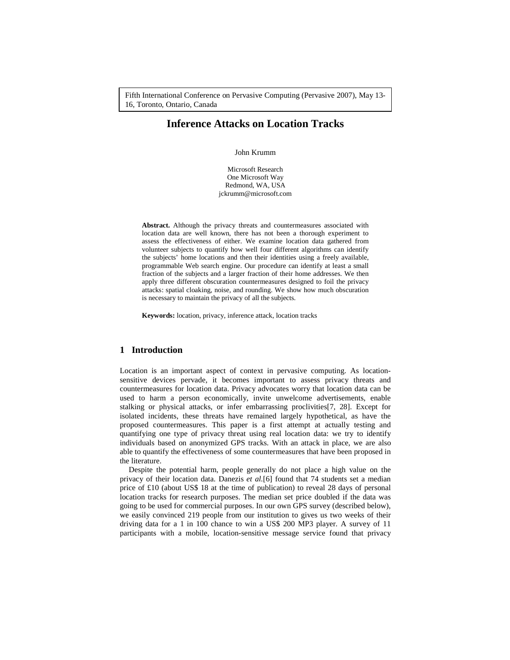Fifth International Conference on Pervasive Computing (Pervasive 2007), May 13- 16, Toronto, Ontario, Canada

# **Inference Attacks on Location Tracks**

John Krumm

Microsoft Research One Microsoft Way Redmond, WA, USA jckrumm@microsoft.com

**Abstract.** Although the privacy threats and countermeasures associated with location data are well known, there has not been a thorough experiment to assess the effectiveness of either. We examine location data gathered from volunteer subjects to quantify how well four different algorithms can identify the subjects' home locations and then their identities using a freely available, programmable Web search engine. Our procedure can identify at least a small fraction of the subjects and a larger fraction of their home addresses. We then apply three different obscuration countermeasures designed to foil the privacy attacks: spatial cloaking, noise, and rounding. We show how much obscuration is necessary to maintain the privacy of all the subjects.

**Keywords:** location, privacy, inference attack, location tracks

# **1 Introduction**

Location is an important aspect of context in pervasive computing. As locationsensitive devices pervade, it becomes important to assess privacy threats and countermeasures for location data. Privacy advocates worry that location data can be used to harm a person economically, invite unwelcome advertisements, enable stalking or physical attacks, or infer embarrassing proclivities[7, 28]. Except for isolated incidents, these threats have remained largely hypothetical, as have the proposed countermeasures. This paper is a first attempt at actually testing and quantifying one type of privacy threat using real location data: we try to identify individuals based on anonymized GPS tracks. With an attack in place, we are also able to quantify the effectiveness of some countermeasures that have been proposed in the literature.

Despite the potential harm, people generally do not place a high value on the privacy of their location data. Danezis *et al.*[6] found that 74 students set a median price of £10 (about US\$ 18 at the time of publication) to reveal 28 days of personal location tracks for research purposes. The median set price doubled if the data was going to be used for commercial purposes. In our own GPS survey (described below), we easily convinced 219 people from our institution to gives us two weeks of their driving data for a 1 in 100 chance to win a US\$ 200 MP3 player. A survey of 11 participants with a mobile, location-sensitive message service found that privacy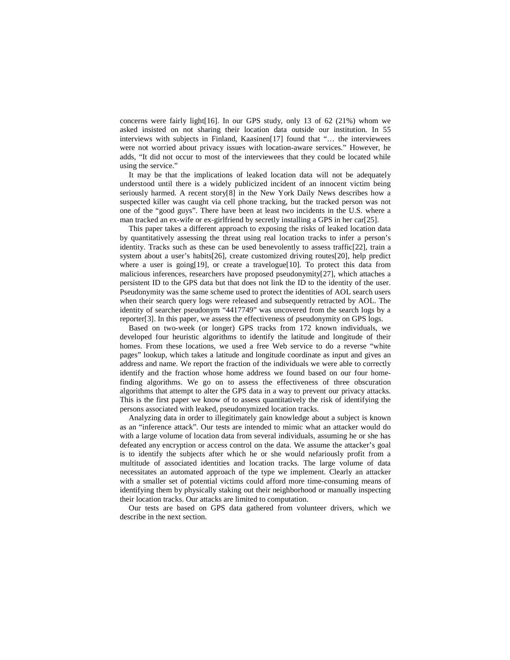concerns were fairly light  $[16]$ . In our GPS study, only 13 of 62 (21%) whom we asked insisted on not sharing their location data outside our institution. In 55 interviews with subjects in Finland, Kaasinen[17] found that "… the interviewees were not worried about privacy issues with location-aware services." However, he adds, "It did not occur to most of the interviewees that they could be located while using the service."

It may be that the implications of leaked location data will not be adequately understood until there is a widely publicized incident of an innocent victim being seriously harmed. A recent story[8] in the New York Daily News describes how a suspected killer was caught via cell phone tracking, but the tracked person was not one of the "good guys". There have been at least two incidents in the U.S. where a man tracked an ex-wife or ex-girlfriend by secretly installing a GPS in her car[25].

This paper takes a different approach to exposing the risks of leaked location data by quantitatively assessing the threat using real location tracks to infer a person's identity. Tracks such as these can be used benevolently to assess traffic[22], train a system about a user's habits[26], create customized driving routes[20], help predict where a user is going[19], or create a travelogue[10]. To protect this data from malicious inferences, researchers have proposed pseudonymity[27], which attaches a persistent ID to the GPS data but that does not link the ID to the identity of the user. Pseudonymity was the same scheme used to protect the identities of AOL search users when their search query logs were released and subsequently retracted by AOL. The identity of searcher pseudonym "4417749" was uncovered from the search logs by a reporter[3]. In this paper, we assess the effectiveness of pseudonymity on GPS logs.

Based on two-week (or longer) GPS tracks from 172 known individuals, we developed four heuristic algorithms to identify the latitude and longitude of their homes. From these locations, we used a free Web service to do a reverse "white pages" lookup, which takes a latitude and longitude coordinate as input and gives an address and name. We report the fraction of the individuals we were able to correctly identify and the fraction whose home address we found based on our four homefinding algorithms. We go on to assess the effectiveness of three obscuration algorithms that attempt to alter the GPS data in a way to prevent our privacy attacks. This is the first paper we know of to assess quantitatively the risk of identifying the persons associated with leaked, pseudonymized location tracks.

Analyzing data in order to illegitimately gain knowledge about a subject is known as an "inference attack". Our tests are intended to mimic what an attacker would do with a large volume of location data from several individuals, assuming he or she has defeated any encryption or access control on the data. We assume the attacker's goal is to identify the subjects after which he or she would nefariously profit from a multitude of associated identities and location tracks. The large volume of data necessitates an automated approach of the type we implement. Clearly an attacker with a smaller set of potential victims could afford more time-consuming means of identifying them by physically staking out their neighborhood or manually inspecting their location tracks. Our attacks are limited to computation.

Our tests are based on GPS data gathered from volunteer drivers, which we describe in the next section.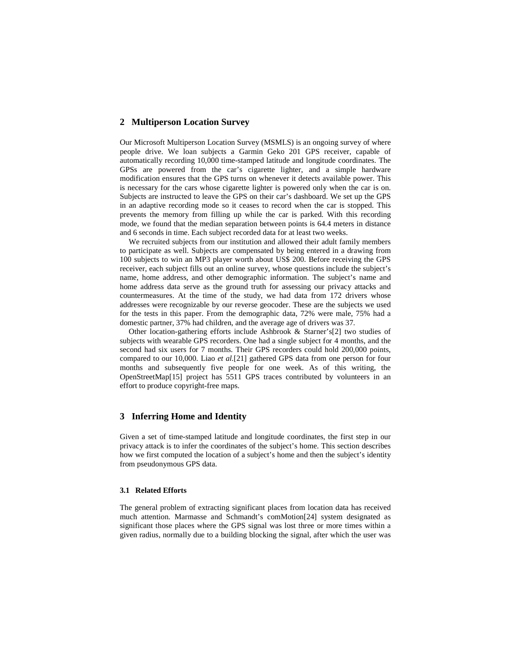## **2 Multiperson Location Survey**

Our Microsoft Multiperson Location Survey (MSMLS) is an ongoing survey of where people drive. We loan subjects a Garmin Geko 201 GPS receiver, capable of automatically recording 10,000 time-stamped latitude and longitude coordinates. The GPSs are powered from the car's cigarette lighter, and a simple hardware modification ensures that the GPS turns on whenever it detects available power. This is necessary for the cars whose cigarette lighter is powered only when the car is on. Subjects are instructed to leave the GPS on their car's dashboard. We set up the GPS in an adaptive recording mode so it ceases to record when the car is stopped. This prevents the memory from filling up while the car is parked. With this recording mode, we found that the median separation between points is 64.4 meters in distance and 6 seconds in time. Each subject recorded data for at least two weeks.

We recruited subjects from our institution and allowed their adult family members to participate as well. Subjects are compensated by being entered in a drawing from 100 subjects to win an MP3 player worth about US\$ 200. Before receiving the GPS receiver, each subject fills out an online survey, whose questions include the subject's name, home address, and other demographic information. The subject's name and home address data serve as the ground truth for assessing our privacy attacks and countermeasures. At the time of the study, we had data from 172 drivers whose addresses were recognizable by our reverse geocoder. These are the subjects we used for the tests in this paper. From the demographic data, 72% were male, 75% had a domestic partner, 37% had children, and the average age of drivers was 37.

Other location-gathering efforts include Ashbrook & Starner's[2] two studies of subjects with wearable GPS recorders. One had a single subject for 4 months, and the second had six users for 7 months. Their GPS recorders could hold 200,000 points, compared to our 10,000. Liao *et al.*[21] gathered GPS data from one person for four months and subsequently five people for one week. As of this writing, the OpenStreetMap[15] project has 5511 GPS traces contributed by volunteers in an effort to produce copyright-free maps.

# **3 Inferring Home and Identity**

Given a set of time-stamped latitude and longitude coordinates, the first step in our privacy attack is to infer the coordinates of the subject's home. This section describes how we first computed the location of a subject's home and then the subject's identity from pseudonymous GPS data.

#### **3.1 Related Efforts**

The general problem of extracting significant places from location data has received much attention. Marmasse and Schmandt's comMotion[24] system designated as significant those places where the GPS signal was lost three or more times within a given radius, normally due to a building blocking the signal, after which the user was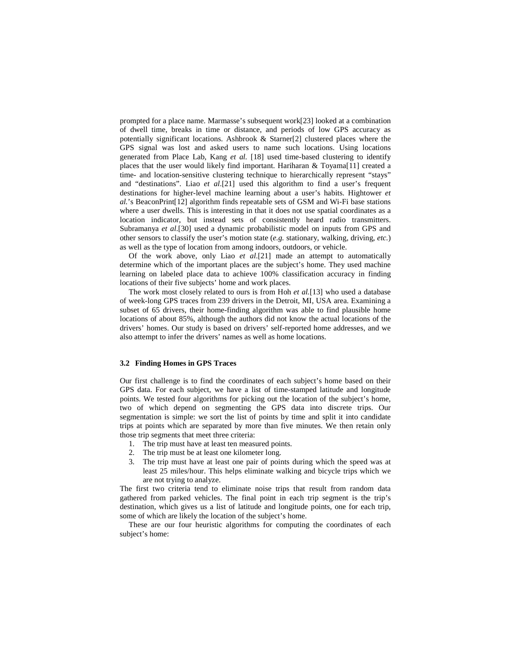prompted for a place name. Marmasse's subsequent work[23] looked at a combination of dwell time, breaks in time or distance, and periods of low GPS accuracy as potentially significant locations. Ashbrook & Starner[2] clustered places where the GPS signal was lost and asked users to name such locations. Using locations generated from Place Lab, Kang *et al.* [18] used time-based clustering to identify places that the user would likely find important. Hariharan & Toyama[11] created a time- and location-sensitive clustering technique to hierarchically represent "stays" and "destinations". Liao *et al*.[21] used this algorithm to find a user's frequent destinations for higher-level machine learning about a user's habits. Hightower *et al.*'s BeaconPrint[12] algorithm finds repeatable sets of GSM and Wi-Fi base stations where a user dwells. This is interesting in that it does not use spatial coordinates as a location indicator, but instead sets of consistently heard radio transmitters. Subramanya *et al*.[30] used a dynamic probabilistic model on inputs from GPS and other sensors to classify the user's motion state (*e.g.* stationary, walking, driving, *etc.*) as well as the type of location from among indoors, outdoors, or vehicle.

Of the work above, only Liao *et al*.[21] made an attempt to automatically determine which of the important places are the subject's home. They used machine learning on labeled place data to achieve 100% classification accuracy in finding locations of their five subjects' home and work places.

The work most closely related to ours is from Hoh *et al.*[13] who used a database of week-long GPS traces from 239 drivers in the Detroit, MI, USA area. Examining a subset of 65 drivers, their home-finding algorithm was able to find plausible home locations of about 85%, although the authors did not know the actual locations of the drivers' homes. Our study is based on drivers' self-reported home addresses, and we also attempt to infer the drivers' names as well as home locations.

#### **3.2 Finding Homes in GPS Traces**

Our first challenge is to find the coordinates of each subject's home based on their GPS data. For each subject, we have a list of time-stamped latitude and longitude points. We tested four algorithms for picking out the location of the subject's home, two of which depend on segmenting the GPS data into discrete trips. Our segmentation is simple: we sort the list of points by time and split it into candidate trips at points which are separated by more than five minutes. We then retain only those trip segments that meet three criteria:

- 1. The trip must have at least ten measured points.
- The trip must be at least one kilometer long.
- 3. The trip must have at least one pair of points during which the speed was at least 25 miles/hour. This helps eliminate walking and bicycle trips which we are not trying to analyze.

The first two criteria tend to eliminate noise trips that result from random data gathered from parked vehicles. The final point in each trip segment is the trip's destination, which gives us a list of latitude and longitude points, one for each trip, some of which are likely the location of the subject's home.

These are our four heuristic algorithms for computing the coordinates of each subject's home: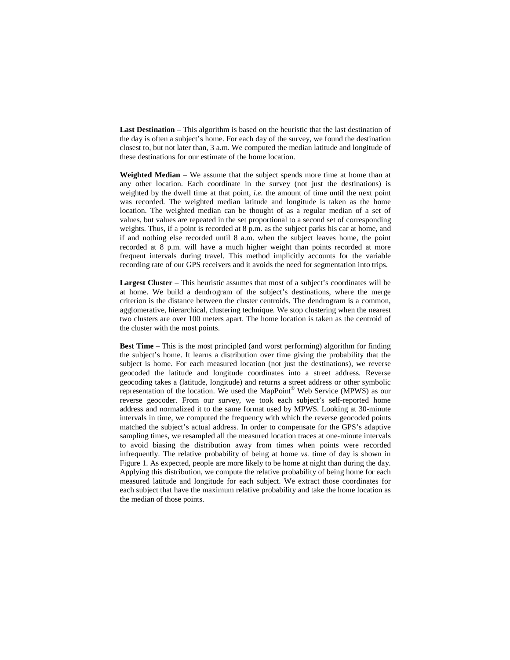**Last Destination** – This algorithm is based on the heuristic that the last destination of the day is often a subject's home. For each day of the survey, we found the destination closest to, but not later than, 3 a.m. We computed the median latitude and longitude of these destinations for our estimate of the home location.

**Weighted Median** – We assume that the subject spends more time at home than at any other location. Each coordinate in the survey (not just the destinations) is weighted by the dwell time at that point, *i.e.* the amount of time until the next point was recorded. The weighted median latitude and longitude is taken as the home location. The weighted median can be thought of as a regular median of a set of values, but values are repeated in the set proportional to a second set of corresponding weights. Thus, if a point is recorded at 8 p.m. as the subject parks his car at home, and if and nothing else recorded until 8 a.m. when the subject leaves home, the point recorded at 8 p.m. will have a much higher weight than points recorded at more frequent intervals during travel. This method implicitly accounts for the variable recording rate of our GPS receivers and it avoids the need for segmentation into trips.

**Largest Cluster** – This heuristic assumes that most of a subject's coordinates will be at home. We build a dendrogram of the subject's destinations, where the merge criterion is the distance between the cluster centroids. The dendrogram is a common, agglomerative, hierarchical, clustering technique. We stop clustering when the nearest two clusters are over 100 meters apart. The home location is taken as the centroid of the cluster with the most points.

**Best Time** – This is the most principled (and worst performing) algorithm for finding the subject's home. It learns a distribution over time giving the probability that the subject is home. For each measured location (not just the destinations), we reverse geocoded the latitude and longitude coordinates into a street address. Reverse geocoding takes a (latitude, longitude) and returns a street address or other symbolic representation of the location. We used the MapPoint® Web Service (MPWS) as our reverse geocoder. From our survey, we took each subject's self-reported home address and normalized it to the same format used by MPWS. Looking at 30-minute intervals in time, we computed the frequency with which the reverse geocoded points matched the subject's actual address. In order to compensate for the GPS's adaptive sampling times, we resampled all the measured location traces at one-minute intervals to avoid biasing the distribution away from times when points were recorded infrequently. The relative probability of being at home *vs.* time of day is shown in Figure 1. As expected, people are more likely to be home at night than during the day. Applying this distribution, we compute the relative probability of being home for each measured latitude and longitude for each subject. We extract those coordinates for each subject that have the maximum relative probability and take the home location as the median of those points.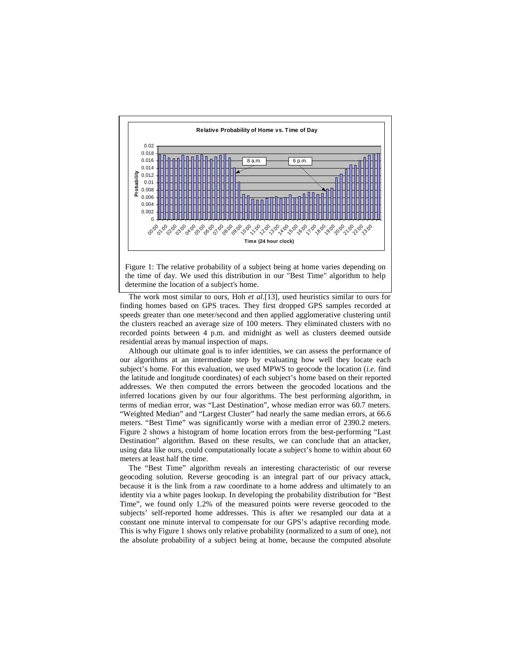



The work most similar to ours, Hoh *et al*.[13], used heuristics similar to ours for finding homes based on GPS traces. They first dropped GPS samples recorded at speeds greater than one meter/second and then applied agglomerative clustering until the clusters reached an average size of 100 meters. They eliminated clusters with no recorded points between 4 p.m. and midnight as well as clusters deemed outside residential areas by manual inspection of maps.

Although our ultimate goal is to infer identities, we can assess the performance of our algorithms at an intermediate step by evaluating how well they locate each subject's home. For this evaluation, we used MPWS to geocode the location (*i.e.* find the latitude and longitude coordinates) of each subject's home based on their reported addresses. We then computed the errors between the geocoded locations and the inferred locations given by our four algorithms. The best performing algorithm, in terms of median error, was "Last Destination", whose median error was 60.7 meters. "Weighted Median" and "Largest Cluster" had nearly the same median errors, at 66.6 meters. "Best Time" was significantly worse with a median error of 2390.2 meters. Figure 2 shows a histogram of home location errors from the best-performing "Last Destination" algorithm. Based on these results, we can conclude that an attacker, using data like ours, could computationally locate a subject's home to within about 60 meters at least half the time.

The "Best Time" algorithm reveals an interesting characteristic of our reverse geocoding solution. Reverse geocoding is an integral part of our privacy attack, because it is the link from a raw coordinate to a home address and ultimately to an identity via a white pages lookup. In developing the probability distribution for "Best Time", we found only 1.2% of the measured points were reverse geocoded to the subjects' self-reported home addresses. This is after we resampled our data at a constant one minute interval to compensate for our GPS's adaptive recording mode. This is why Figure 1 shows only relative probability (normalized to a sum of one), not the absolute probability of a subject being at home, because the computed absolute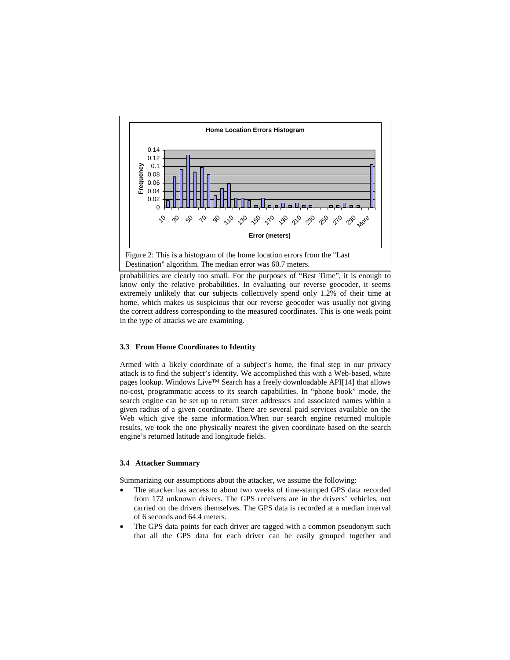

probabilities are clearly too small. For the purposes of "Best Time", it is enough to know only the relative probabilities. In evaluating our reverse geocoder, it seems extremely unlikely that our subjects collectively spend only 1.2% of their time at home, which makes us suspicious that our reverse geocoder was usually not giving the correct address corresponding to the measured coordinates. This is one weak point in the type of attacks we are examining.

#### **3.3 From Home Coordinates to Identity**

Armed with a likely coordinate of a subject's home, the final step in our privacy attack is to find the subject's identity. We accomplished this with a Web-based, white pages lookup. Windows Live™ Search has a freely downloadable API[14] that allows no-cost, programmatic access to its search capabilities. In "phone book" mode, the search engine can be set up to return street addresses and associated names within a given radius of a given coordinate. There are several paid services available on the Web which give the same information.When our search engine returned multiple results, we took the one physically nearest the given coordinate based on the search engine's returned latitude and longitude fields.

### **3.4 Attacker Summary**

Summarizing our assumptions about the attacker, we assume the following:

- The attacker has access to about two weeks of time-stamped GPS data recorded from 172 unknown drivers. The GPS receivers are in the drivers' vehicles, not carried on the drivers themselves. The GPS data is recorded at a median interval of 6 seconds and 64.4 meters.
- The GPS data points for each driver are tagged with a common pseudonym such that all the GPS data for each driver can be easily grouped together and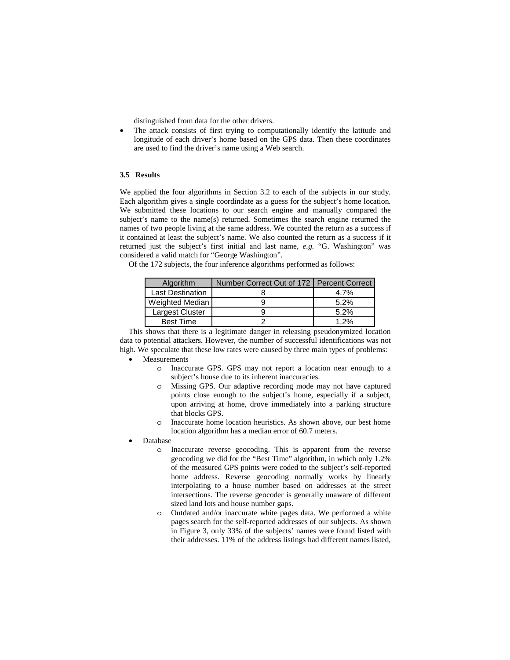distinguished from data for the other drivers.

The attack consists of first trying to computationally identify the latitude and longitude of each driver's home based on the GPS data. Then these coordinates are used to find the driver's name using a Web search.

## **3.5 Results**

We applied the four algorithms in Section 3.2 to each of the subjects in our study. Each algorithm gives a single coordindate as a guess for the subject's home location. We submitted these locations to our search engine and manually compared the subject's name to the name(s) returned. Sometimes the search engine returned the names of two people living at the same address. We counted the return as a success if it contained at least the subject's name. We also counted the return as a success if it returned just the subject's first initial and last name, *e.g.* "G. Washington" was considered a valid match for "George Washington".

Of the 172 subjects, the four inference algorithms performed as follows:

| Algorithm               | Number Correct Out of 172   Percent Correct |      |
|-------------------------|---------------------------------------------|------|
| <b>Last Destination</b> |                                             | 4.7% |
| Weighted Median         |                                             | 5.2% |
| <b>Largest Cluster</b>  |                                             | 5.2% |
| <b>Best Time</b>        |                                             | 1.2% |

This shows that there is a legitimate danger in releasing pseudonymized location data to potential attackers. However, the number of successful identifications was not high. We speculate that these low rates were caused by three main types of problems:

- **Measurements** 
	- o Inaccurate GPS. GPS may not report a location near enough to a subject's house due to its inherent inaccuracies.
	- o Missing GPS. Our adaptive recording mode may not have captured points close enough to the subject's home, especially if a subject, upon arriving at home, drove immediately into a parking structure that blocks GPS.
	- o Inaccurate home location heuristics. As shown above, our best home location algorithm has a median error of 60.7 meters.
- Database
	- o Inaccurate reverse geocoding. This is apparent from the reverse geocoding we did for the "Best Time" algorithm, in which only 1.2% of the measured GPS points were coded to the subject's self-reported home address. Reverse geocoding normally works by linearly interpolating to a house number based on addresses at the street intersections. The reverse geocoder is generally unaware of different sized land lots and house number gaps.
	- o Outdated and/or inaccurate white pages data. We performed a white pages search for the self-reported addresses of our subjects. As shown in Figure 3, only 33% of the subjects' names were found listed with their addresses. 11% of the address listings had different names listed,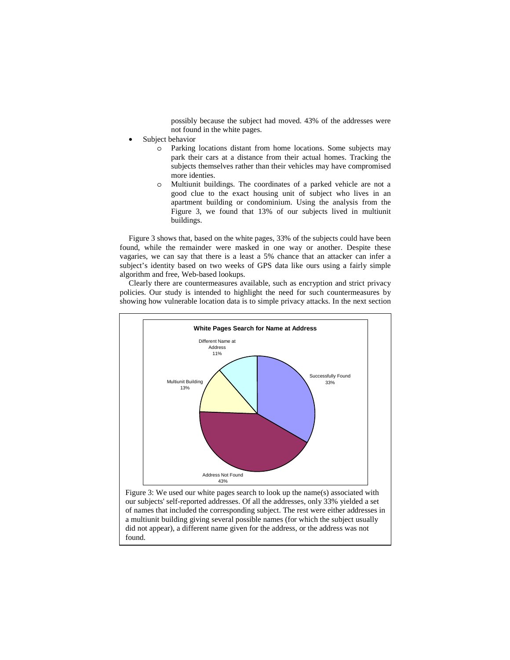possibly because the subject had moved. 43% of the addresses were not found in the white pages.

- Subject behavior
	- o Parking locations distant from home locations. Some subjects may park their cars at a distance from their actual homes. Tracking the subjects themselves rather than their vehicles may have compromised more identies.
	- o Multiunit buildings. The coordinates of a parked vehicle are not a good clue to the exact housing unit of subject who lives in an apartment building or condominium. Using the analysis from the Figure 3, we found that 13% of our subjects lived in multiunit buildings.

Figure 3 shows that, based on the white pages, 33% of the subjects could have been found, while the remainder were masked in one way or another. Despite these vagaries, we can say that there is a least a 5% chance that an attacker can infer a subject's identity based on two weeks of GPS data like ours using a fairly simple algorithm and free, Web-based lookups.

Clearly there are countermeasures available, such as encryption and strict privacy policies. Our study is intended to highlight the need for such countermeasures by showing how vulnerable location data is to simple privacy attacks. In the next section



Figure 3: We used our white pages search to look up the name(s) associated with our subjects' self-reported addresses. Of all the addresses, only 33% yielded a set of names that included the corresponding subject. The rest were either addresses in a multiunit building giving several possible names (for which the subject usually did not appear), a different name given for the address, or the address was not found.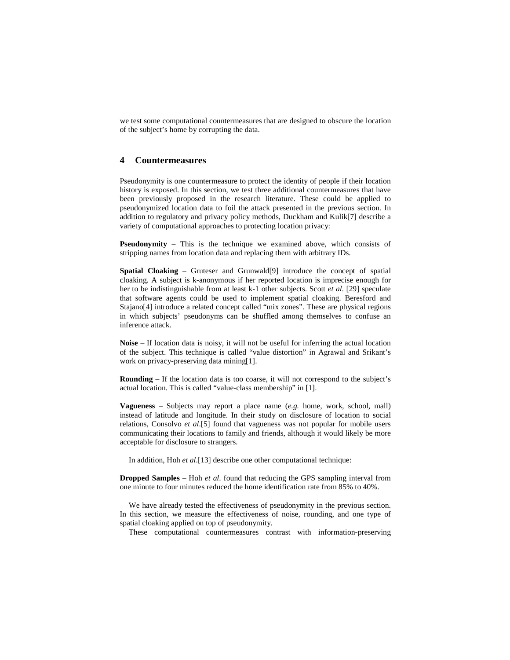we test some computational countermeasures that are designed to obscure the location of the subject's home by corrupting the data.

# **4 Countermeasures**

Pseudonymity is one countermeasure to protect the identity of people if their location history is exposed. In this section, we test three additional countermeasures that have been previously proposed in the research literature. These could be applied to pseudonymized location data to foil the attack presented in the previous section. In addition to regulatory and privacy policy methods, Duckham and Kulik[7] describe a variety of computational approaches to protecting location privacy:

**Pseudonymity** – This is the technique we examined above, which consists of stripping names from location data and replacing them with arbitrary IDs.

**Spatial Cloaking** – Gruteser and Grunwald[9] introduce the concept of spatial cloaking. A subject is k-anonymous if her reported location is imprecise enough for her to be indistinguishable from at least k-1 other subjects. Scott *et al*. [29] speculate that software agents could be used to implement spatial cloaking. Beresford and Stajano[4] introduce a related concept called "mix zones". These are physical regions in which subjects' pseudonyms can be shuffled among themselves to confuse an inference attack.

**Noise** – If location data is noisy, it will not be useful for inferring the actual location of the subject. This technique is called "value distortion" in Agrawal and Srikant's work on privacy-preserving data mining[1].

**Rounding** – If the location data is too coarse, it will not correspond to the subject's actual location. This is called "value-class membership" in [1].

**Vagueness** – Subjects may report a place name (*e.g.* home, work, school, mall) instead of latitude and longitude. In their study on disclosure of location to social relations, Consolvo *et al*.[5] found that vagueness was not popular for mobile users communicating their locations to family and friends, although it would likely be more acceptable for disclosure to strangers.

In addition, Hoh *et al*.[13] describe one other computational technique:

**Dropped Samples** – Hoh *et al*. found that reducing the GPS sampling interval from one minute to four minutes reduced the home identification rate from 85% to 40%.

We have already tested the effectiveness of pseudonymity in the previous section. In this section, we measure the effectiveness of noise, rounding, and one type of spatial cloaking applied on top of pseudonymity.

These computational countermeasures contrast with information-preserving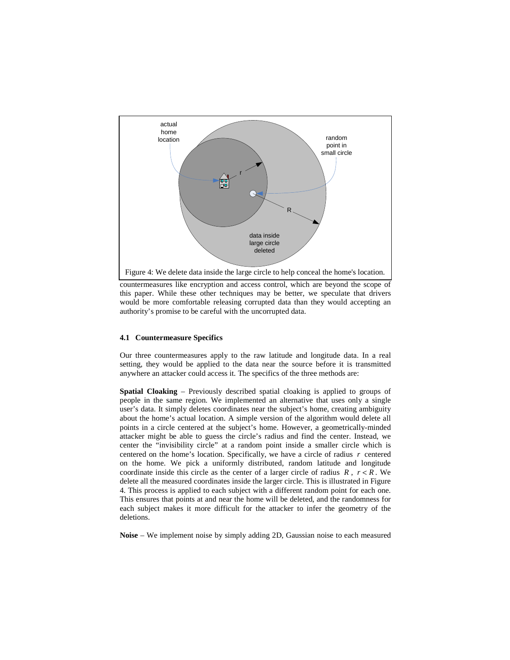

countermeasures like encryption and access control, which are beyond the scope of this paper. While these other techniques may be better, we speculate that drivers would be more comfortable releasing corrupted data than they would accepting an authority's promise to be careful with the uncorrupted data.

#### **4.1 Countermeasure Specifics**

Our three countermeasures apply to the raw latitude and longitude data. In a real setting, they would be applied to the data near the source before it is transmitted anywhere an attacker could access it. The specifics of the three methods are:

**Spatial Cloaking** – Previously described spatial cloaking is applied to groups of people in the same region. We implemented an alternative that uses only a single user's data. It simply deletes coordinates near the subject's home, creating ambiguity about the home's actual location. A simple version of the algorithm would delete all points in a circle centered at the subject's home. However, a geometrically-minded attacker might be able to guess the circle's radius and find the center. Instead, we center the "invisibility circle" at a random point inside a smaller circle which is centered on the home's location. Specifically, we have a circle of radius *r* centered on the home. We pick a uniformly distributed, random latitude and longitude coordinate inside this circle as the center of a larger circle of radius  $R$ ,  $r < R$ . We delete all the measured coordinates inside the larger circle. This is illustrated in Figure 4. This process is applied to each subject with a different random point for each one. This ensures that points at and near the home will be deleted, and the randomness for each subject makes it more difficult for the attacker to infer the geometry of the deletions.

**Noise** – We implement noise by simply adding 2D, Gaussian noise to each measured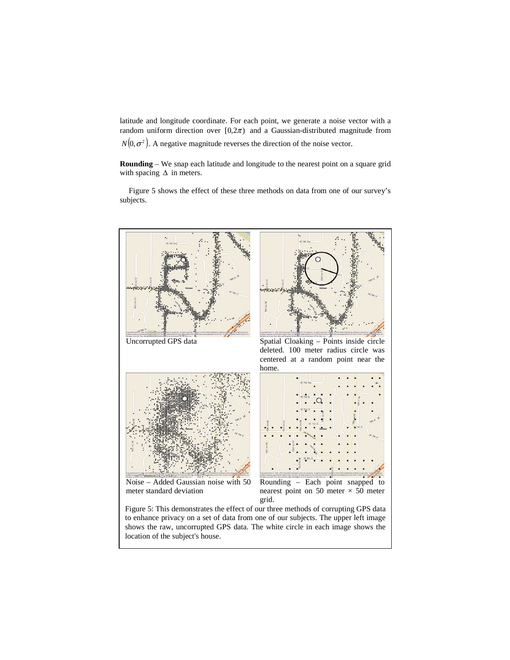latitude and longitude coordinate. For each point, we generate a noise vector with a random uniform direction over  $[0,2\pi)$  and a Gaussian-distributed magnitude from  $N(0, \sigma^2)$ . A negative magnitude reverses the direction of the noise vector.

**Rounding** – We snap each latitude and longitude to the nearest point on a square grid with spacing  $\Delta$  in meters.

Figure 5 shows the effect of these three methods on data from one of our survey's subjects.

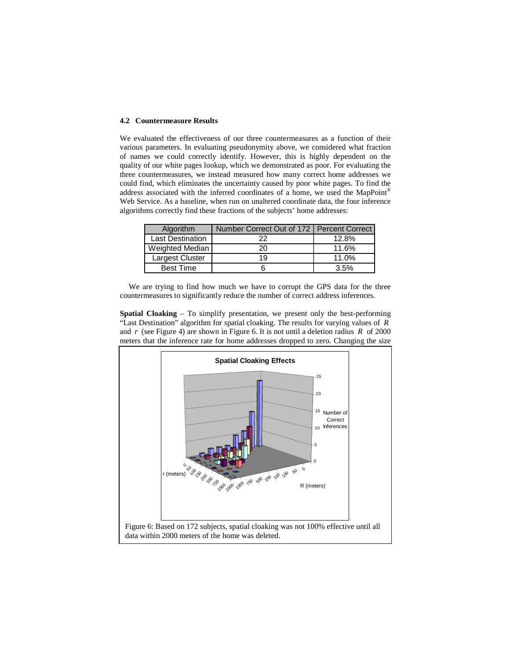#### **4.2 Countermeasure Results**

We evaluated the effectiveness of our three countermeasures as a function of their various parameters. In evaluating pseudonymity above, we considered what fraction of names we could correctly identify. However, this is highly dependent on the quality of our white pages lookup, which we demonstrated as poor. For evaluating the three countermeasures, we instead measured how many correct home addresses we could find, which eliminates the uncertainty caused by poor white pages. To find the address associated with the inferred coordinates of a home, we used the MapPoint® Web Service. As a baseline, when run on unaltered coordinate data, the four inference algorithms correctly find these fractions of the subjects' home addresses:

| Algorithm               | Number Correct Out of 172   Percent Correct |       |
|-------------------------|---------------------------------------------|-------|
| <b>Last Destination</b> | つつ                                          | 12.8% |
| Weighted Median         | 20                                          | 11.6% |
| Largest Cluster         | 19                                          | 11.0% |
| <b>Best Time</b>        |                                             | 3.5%  |

We are trying to find how much we have to corrupt the GPS data for the three countermeasures to significantly reduce the number of correct address inferences.

**Spatial Cloaking** – To simplify presentation, we present only the best-performing "Last Destination" algorithm for spatial cloaking. The results for varying values of *R* and *r* (see Figure 4) are shown in Figure 6. It is not until a deletion radius *R* of 2000 meters that the inference rate for home addresses dropped to zero. Changing the size

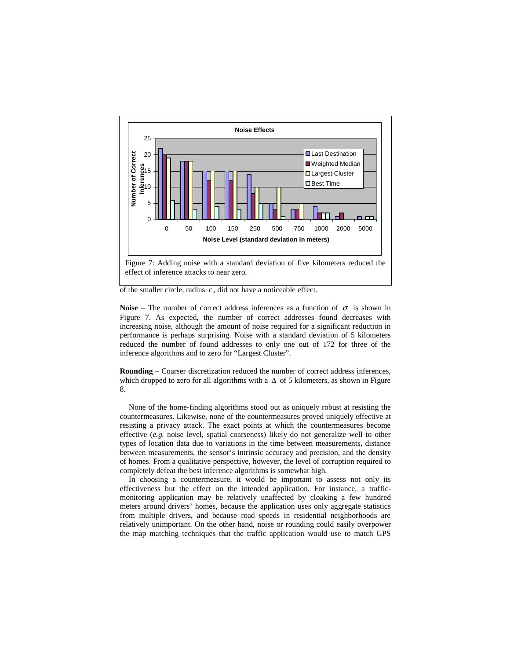

of the smaller circle, radius *r* , did not have a noticeable effect.

**Noise** – The number of correct address inferences as a function of  $\sigma$  is shown in Figure 7. As expected, the number of correct addresses found decreases with increasing noise, although the amount of noise required for a significant reduction in performance is perhaps surprising. Noise with a standard deviation of 5 kilometers reduced the number of found addresses to only one out of 172 for three of the inference algorithms and to zero for "Largest Cluster".

**Rounding** – Coarser discretization reduced the number of correct address inferences, which dropped to zero for all algorithms with a  $\Delta$  of 5 kilometers, as shown in Figure 8.

None of the home-finding algorithms stood out as uniquely robust at resisting the countermeasures. Likewise, none of the countermeasures proved uniquely effective at resisting a privacy attack. The exact points at which the countermeasures become effective (*e.g.* noise level, spatial coarseness) likely do not generalize well to other types of location data due to variations in the time between measurements, distance between measurements, the sensor's intrinsic accuracy and precision, and the density of homes. From a qualitative perspective, however, the level of corruption required to completely defeat the best inference algorithms is somewhat high.

In choosing a countermeasure, it would be important to assess not only its effectiveness but the effect on the intended application. For instance, a trafficmonitoring application may be relatively unaffected by cloaking a few hundred meters around drivers' homes, because the application uses only aggregate statistics from multiple drivers, and because road speeds in residential neighborhoods are relatively unimportant. On the other hand, noise or rounding could easily overpower the map matching techniques that the traffic application would use to match GPS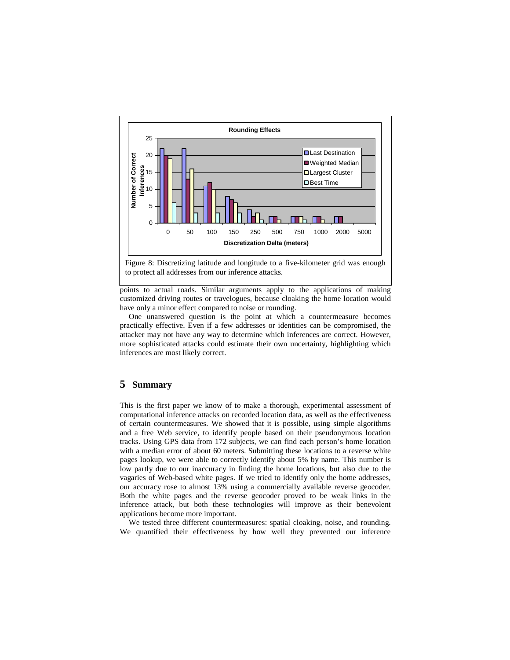

points to actual roads. Similar arguments apply to the applications of making customized driving routes or travelogues, because cloaking the home location would have only a minor effect compared to noise or rounding.

One unanswered question is the point at which a countermeasure becomes practically effective. Even if a few addresses or identities can be compromised, the attacker may not have any way to determine which inferences are correct. However, more sophisticated attacks could estimate their own uncertainty, highlighting which inferences are most likely correct.

# **5 Summary**

This is the first paper we know of to make a thorough, experimental assessment of computational inference attacks on recorded location data, as well as the effectiveness of certain countermeasures. We showed that it is possible, using simple algorithms and a free Web service, to identify people based on their pseudonymous location tracks. Using GPS data from 172 subjects, we can find each person's home location with a median error of about 60 meters. Submitting these locations to a reverse white pages lookup, we were able to correctly identify about 5% by name. This number is low partly due to our inaccuracy in finding the home locations, but also due to the vagaries of Web-based white pages. If we tried to identify only the home addresses, our accuracy rose to almost 13% using a commercially available reverse geocoder. Both the white pages and the reverse geocoder proved to be weak links in the inference attack, but both these technologies will improve as their benevolent applications become more important.

We tested three different countermeasures: spatial cloaking, noise, and rounding. We quantified their effectiveness by how well they prevented our inference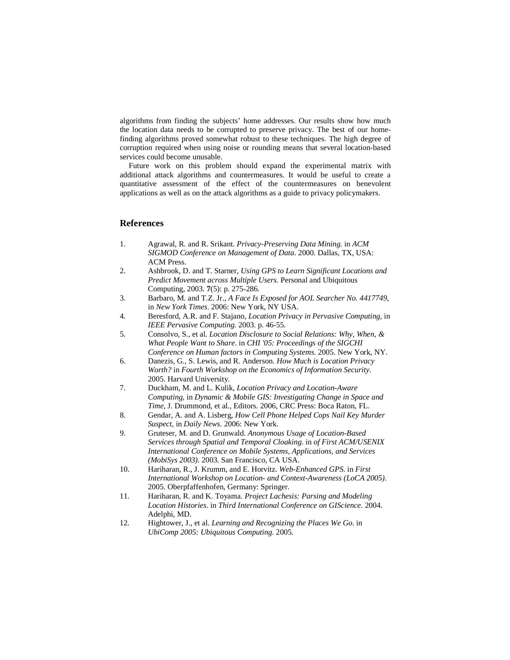algorithms from finding the subjects' home addresses. Our results show how much the location data needs to be corrupted to preserve privacy. The best of our homefinding algorithms proved somewhat robust to these techniques. The high degree of corruption required when using noise or rounding means that several location-based services could become unusable.

Future work on this problem should expand the experimental matrix with additional attack algorithms and countermeasures. It would be useful to create a quantitative assessment of the effect of the countermeasures on benevolent applications as well as on the attack algorithms as a guide to privacy policymakers.

## **References**

- 1. Agrawal, R. and R. Srikant. *Privacy-Preserving Data Mining*. in *ACM SIGMOD Conference on Management of Data*. 2000. Dallas, TX, USA: ACM Press.
- 2. Ashbrook, D. and T. Starner, *Using GPS to Learn Significant Locations and Predict Movement across Multiple Users.* Personal and Ubiquitous Computing, 2003. **7**(5): p. 275-286.
- 3. Barbaro, M. and T.Z. Jr., *A Face Is Exposed for AOL Searcher No. 4417749*, in *New York Times*. 2006: New York, NY USA.
- 4. Beresford, A.R. and F. Stajano, *Location Privacy in Pervasive Computing*, in *IEEE Pervasive Computing*. 2003. p. 46-55.
- 5. Consolvo, S., et al. *Location Disclosure to Social Relations: Why, When, & What People Want to Share*. in *CHI '05: Proceedings of the SIGCHI Conference on Human factors in Computing Systems*. 2005. New York, NY.
- 6. Danezis, G., S. Lewis, and R. Anderson. *How Much is Location Privacy Worth?* in *Fourth Workshop on the Economics of Information Security*. 2005. Harvard University.
- 7. Duckham, M. and L. Kulik, *Location Privacy and Location-Aware Computing*, in *Dynamic & Mobile GIS: Investigating Change in Space and Time*, J. Drummond, et al., Editors. 2006, CRC Press: Boca Raton, FL.
- 8. Gendar, A. and A. Lisberg, *How Cell Phone Helped Cops Nail Key Murder Suspect*, in *Daily News*. 2006: New York.
- 9. Gruteser, M. and D. Grunwald. *Anonymous Usage of Location-Based Services through Spatial and Temporal Cloaking*. in *of First ACM/USENIX International Conference on Mobile Systems, Applications, and Services (MobiSys 2003)*. 2003. San Francisco, CA USA.
- 10. Hariharan, R., J. Krumm, and E. Horvitz. *Web-Enhanced GPS*. in *First International Workshop on Location- and Context-Awareness (LoCA 2005)*. 2005. Oberpfaffenhofen, Germany: Springer.
- 11. Hariharan, R. and K. Toyama. *Project Lachesis: Parsing and Modeling Location Histories*. in *Third International Conference on GIScience*. 2004. Adelphi, MD.
- 12. Hightower, J., et al. *Learning and Recognizing the Places We Go*. in *UbiComp 2005: Ubiquitous Computing*. 2005.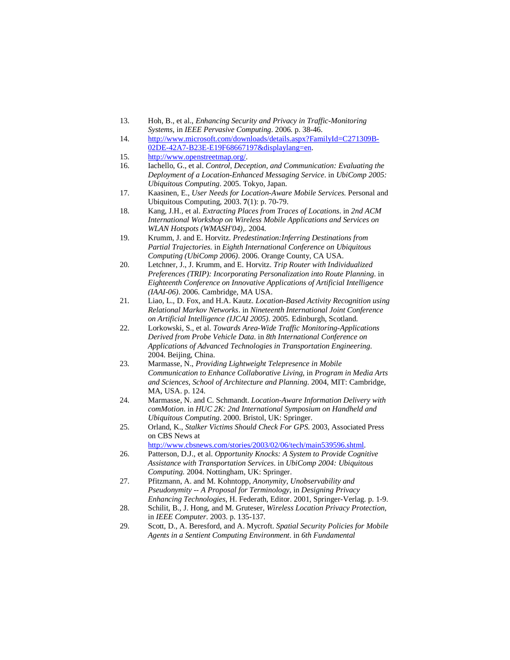- 13. Hoh, B., et al., *Enhancing Security and Privacy in Traffic-Monitoring Systems*, in *IEEE Pervasive Computing*. 2006. p. 38-46.
- 14. http://www.microsoft.com/downloads/details.aspx?FamilyId=C271309B-02DE-42A7-B23E-E19F68667197&displaylang=en.
- 15. http://www.openstreetmap.org/.
- 16. Iachello, G., et al. *Control, Deception, and Communication: Evaluating the Deployment of a Location-Enhanced Messaging Service*. in *UbiComp 2005: Ubiquitous Computing*. 2005. Tokyo, Japan.
- 17. Kaasinen, E., *User Needs for Location-Aware Mobile Services.* Personal and Ubiquitous Computing, 2003. **7**(1): p. 70-79.
- 18. Kang, J.H., et al. *Extracting Places from Traces of Locations*. in *2nd ACM International Workshop on Wireless Mobile Applications and Services on WLAN Hotspots (WMASH'04),*. 2004.
- 19. Krumm, J. and E. Horvitz. *Predestination:Inferring Destinations from Partial Trajectories*. in *Eighth International Conference on Ubiquitous Computing (UbiComp 2006)*. 2006. Orange County, CA USA.
- 20. Letchner, J., J. Krumm, and E. Horvitz. *Trip Router with Individualized Preferences (TRIP): Incorporating Personalization into Route Planning*. in *Eighteenth Conference on Innovative Applications of Artificial Intelligence (IAAI-06)*. 2006. Cambridge, MA USA.
- 21. Liao, L., D. Fox, and H.A. Kautz. *Location-Based Activity Recognition using Relational Markov Networks*. in *Nineteenth International Joint Conference on Artificial Intelligence (IJCAI 2005)*. 2005. Edinburgh, Scotland.
- 22. Lorkowski, S., et al. *Towards Area-Wide Traffic Monitoring-Applications Derived from Probe Vehicle Data*. in *8th International Conference on Applications of Advanced Technologies in Transportation Engineering*. 2004. Beijing, China.
- 23. Marmasse, N., *Providing Lightweight Telepresence in Mobile Communication to Enhance Collaborative Living*, in *Program in Media Arts and Sciences, School of Architecture and Planning*. 2004, MIT: Cambridge, MA, USA. p. 124.
- 24. Marmasse, N. and C. Schmandt. *Location-Aware Information Delivery with comMotion*. in *HUC 2K: 2nd International Symposium on Handheld and Ubiquitous Computing*. 2000. Bristol, UK: Springer.
- 25. Orland, K., *Stalker Victims Should Check For GPS*. 2003, Associated Press on CBS News at

http://www.cbsnews.com/stories/2003/02/06/tech/main539596.shtml.

- 26. Patterson, D.J., et al. *Opportunity Knocks: A System to Provide Cognitive Assistance with Transportation Services*. in *UbiComp 2004: Ubiquitous Computing*. 2004. Nottingham, UK: Springer.
- 27. Pfitzmann, A. and M. Kohntopp, *Anonymity, Unobservability and Pseudonymity -- A Proposal for Terminology*, in *Designing Privacy Enhancing Technologies*, H. Federath, Editor. 2001, Springer-Verlag. p. 1-9.
- 28. Schilit, B., J. Hong, and M. Gruteser, *Wireless Location Privacy Protection*, in *IEEE Computer*. 2003. p. 135-137.
- 29. Scott, D., A. Beresford, and A. Mycroft. *Spatial Security Policies for Mobile Agents in a Sentient Computing Environment*. in *6th Fundamental*